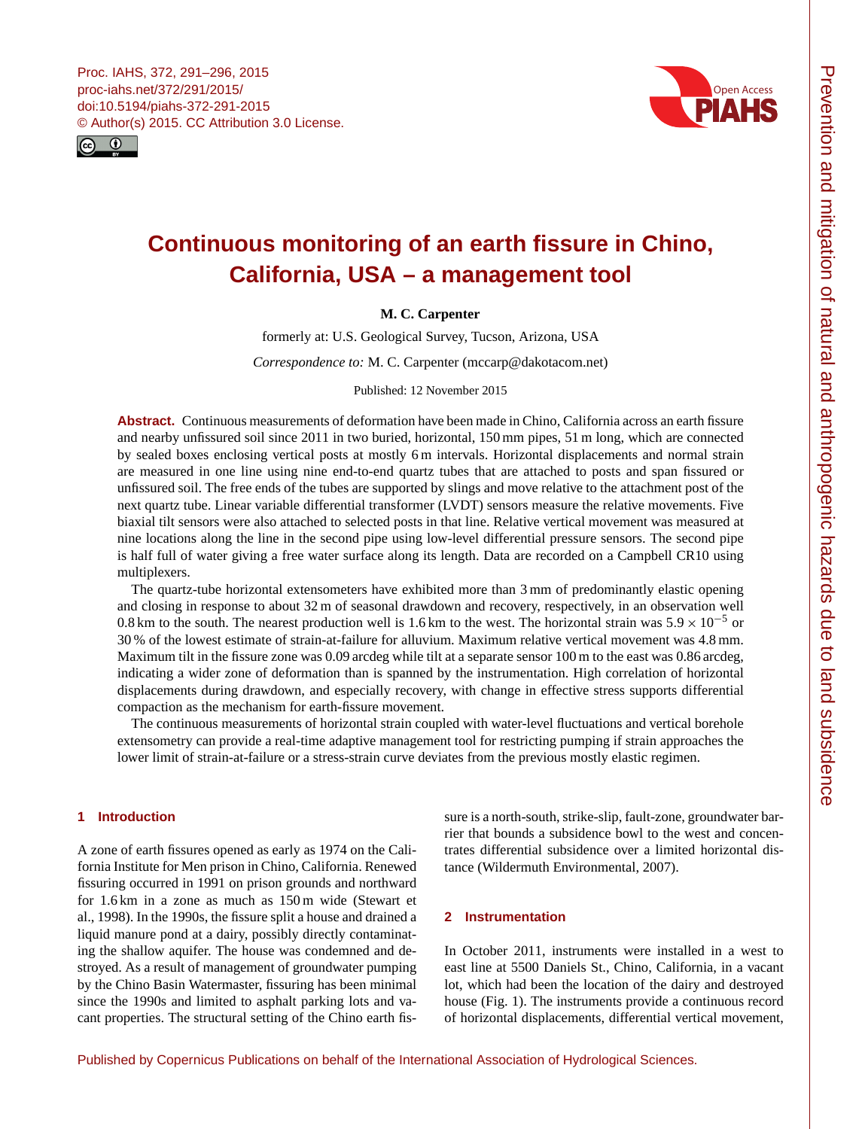<span id="page-0-0"></span>



# **Continuous monitoring of an earth fissure in Chino, California, USA – a management tool**

# **M. C. Carpenter**

formerly at: U.S. Geological Survey, Tucson, Arizona, USA

*Correspondence to:* M. C. Carpenter (mccarp@dakotacom.net)

Published: 12 November 2015

**Abstract.** Continuous measurements of deformation have been made in Chino, California across an earth fissure and nearby unfissured soil since 2011 in two buried, horizontal, 150 mm pipes, 51 m long, which are connected by sealed boxes enclosing vertical posts at mostly 6 m intervals. Horizontal displacements and normal strain are measured in one line using nine end-to-end quartz tubes that are attached to posts and span fissured or unfissured soil. The free ends of the tubes are supported by slings and move relative to the attachment post of the next quartz tube. Linear variable differential transformer (LVDT) sensors measure the relative movements. Five biaxial tilt sensors were also attached to selected posts in that line. Relative vertical movement was measured at nine locations along the line in the second pipe using low-level differential pressure sensors. The second pipe is half full of water giving a free water surface along its length. Data are recorded on a Campbell CR10 using multiplexers.

The quartz-tube horizontal extensometers have exhibited more than 3 mm of predominantly elastic opening and closing in response to about 32 m of seasonal drawdown and recovery, respectively, in an observation well 0.8 km to the south. The nearest production well is 1.6 km to the west. The horizontal strain was  $5.9 \times 10^{-5}$  or 30 % of the lowest estimate of strain-at-failure for alluvium. Maximum relative vertical movement was 4.8 mm. Maximum tilt in the fissure zone was 0.09 arcdeg while tilt at a separate sensor 100 m to the east was 0.86 arcdeg, indicating a wider zone of deformation than is spanned by the instrumentation. High correlation of horizontal displacements during drawdown, and especially recovery, with change in effective stress supports differential compaction as the mechanism for earth-fissure movement.

The continuous measurements of horizontal strain coupled with water-level fluctuations and vertical borehole extensometry can provide a real-time adaptive management tool for restricting pumping if strain approaches the lower limit of strain-at-failure or a stress-strain curve deviates from the previous mostly elastic regimen.

# **1 Introduction**

A zone of earth fissures opened as early as 1974 on the California Institute for Men prison in Chino, California. Renewed fissuring occurred in 1991 on prison grounds and northward for 1.6 km in a zone as much as 150 m wide (Stewart et al., 1998). In the 1990s, the fissure split a house and drained a liquid manure pond at a dairy, possibly directly contaminating the shallow aquifer. The house was condemned and destroyed. As a result of management of groundwater pumping by the Chino Basin Watermaster, fissuring has been minimal since the 1990s and limited to asphalt parking lots and vacant properties. The structural setting of the Chino earth fissure is a north-south, strike-slip, fault-zone, groundwater barrier that bounds a subsidence bowl to the west and concentrates differential subsidence over a limited horizontal distance (Wildermuth Environmental, 2007).

## **2 Instrumentation**

In October 2011, instruments were installed in a west to east line at 5500 Daniels St., Chino, California, in a vacant lot, which had been the location of the dairy and destroyed house (Fig. 1). The instruments provide a continuous record of horizontal displacements, differential vertical movement,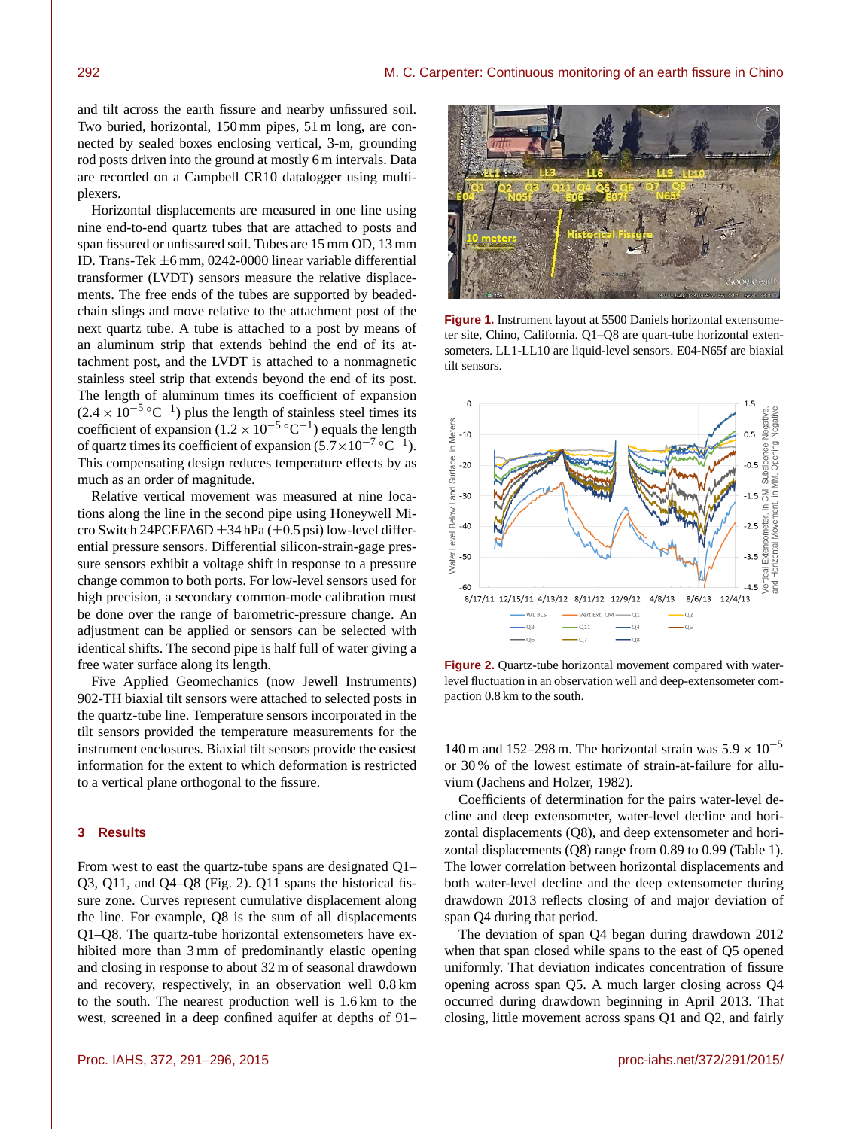and tilt across the earth fissure and nearby unfissured soil. Two buried, horizontal, 150 mm pipes, 51 m long, are connected by sealed boxes enclosing vertical, 3-m, grounding rod posts driven into the ground at mostly 6 m intervals. Data are recorded on a Campbell CR10 datalogger using multiplexers.

Horizontal displacements are measured in one line using nine end-to-end quartz tubes that are attached to posts and span fissured or unfissured soil. Tubes are 15 mm OD, 13 mm ID. Trans-Tek ±6 mm, 0242-0000 linear variable differential transformer (LVDT) sensors measure the relative displacements. The free ends of the tubes are supported by beadedchain slings and move relative to the attachment post of the next quartz tube. A tube is attached to a post by means of an aluminum strip that extends behind the end of its attachment post, and the LVDT is attached to a nonmagnetic stainless steel strip that extends beyond the end of its post. The length of aluminum times its coefficient of expansion  $(2.4 \times 10^{-5} \,^{\circ}\mathrm{C}^{-1})$  plus the length of stainless steel times its coefficient of expansion  $(1.2 \times 10^{-5} \,^{\circ}\mathrm{C}^{-1})$  equals the length of quartz times its coefficient of expansion  $(5.7 \times 10^{-7} \,^{\circ} \text{C}^{-1})$ . This compensating design reduces temperature effects by as much as an order of magnitude.

Relative vertical movement was measured at nine locations along the line in the second pipe using Honeywell Micro Switch 24PCEFA6D  $\pm$ 34 hPa ( $\pm$ 0.5 psi) low-level differential pressure sensors. Differential silicon-strain-gage pressure sensors exhibit a voltage shift in response to a pressure change common to both ports. For low-level sensors used for high precision, a secondary common-mode calibration must be done over the range of barometric-pressure change. An adjustment can be applied or sensors can be selected with identical shifts. The second pipe is half full of water giving a free water surface along its length.

Five Applied Geomechanics (now Jewell Instruments) 902-TH biaxial tilt sensors were attached to selected posts in the quartz-tube line. Temperature sensors incorporated in the tilt sensors provided the temperature measurements for the instrument enclosures. Biaxial tilt sensors provide the easiest information for the extent to which deformation is restricted to a vertical plane orthogonal to the fissure.

#### **3 Results**

From west to east the quartz-tube spans are designated Q1– Q3, Q11, and Q4–Q8 (Fig. 2). Q11 spans the historical fissure zone. Curves represent cumulative displacement along the line. For example, Q8 is the sum of all displacements Q1–Q8. The quartz-tube horizontal extensometers have exhibited more than 3 mm of predominantly elastic opening and closing in response to about 32 m of seasonal drawdown and recovery, respectively, in an observation well 0.8 km to the south. The nearest production well is 1.6 km to the west, screened in a deep confined aquifer at depths of 91–



**Figure 1.** Instrument layout at 5500 Daniels horizontal extensometer site, Chino, California. Q1–Q8 are quart-tube horizontal extensometers. LL1-LL10 are liquid-level sensors. E04-N65f are biaxial tilt sensors.



**Figure 2.** Quartz-tube horizontal movement compared with waterlevel fluctuation in an observation well and deep-extensometer compaction 0.8 km to the south.

140 m and 152–298 m. The horizontal strain was  $5.9 \times 10^{-5}$ or 30 % of the lowest estimate of strain-at-failure for alluvium (Jachens and Holzer, 1982).

Coefficients of determination for the pairs water-level decline and deep extensometer, water-level decline and horizontal displacements (Q8), and deep extensometer and horizontal displacements (Q8) range from 0.89 to 0.99 (Table 1). The lower correlation between horizontal displacements and both water-level decline and the deep extensometer during drawdown 2013 reflects closing of and major deviation of span Q4 during that period.

The deviation of span Q4 began during drawdown 2012 when that span closed while spans to the east of Q5 opened uniformly. That deviation indicates concentration of fissure opening across span Q5. A much larger closing across Q4 occurred during drawdown beginning in April 2013. That closing, little movement across spans Q1 and Q2, and fairly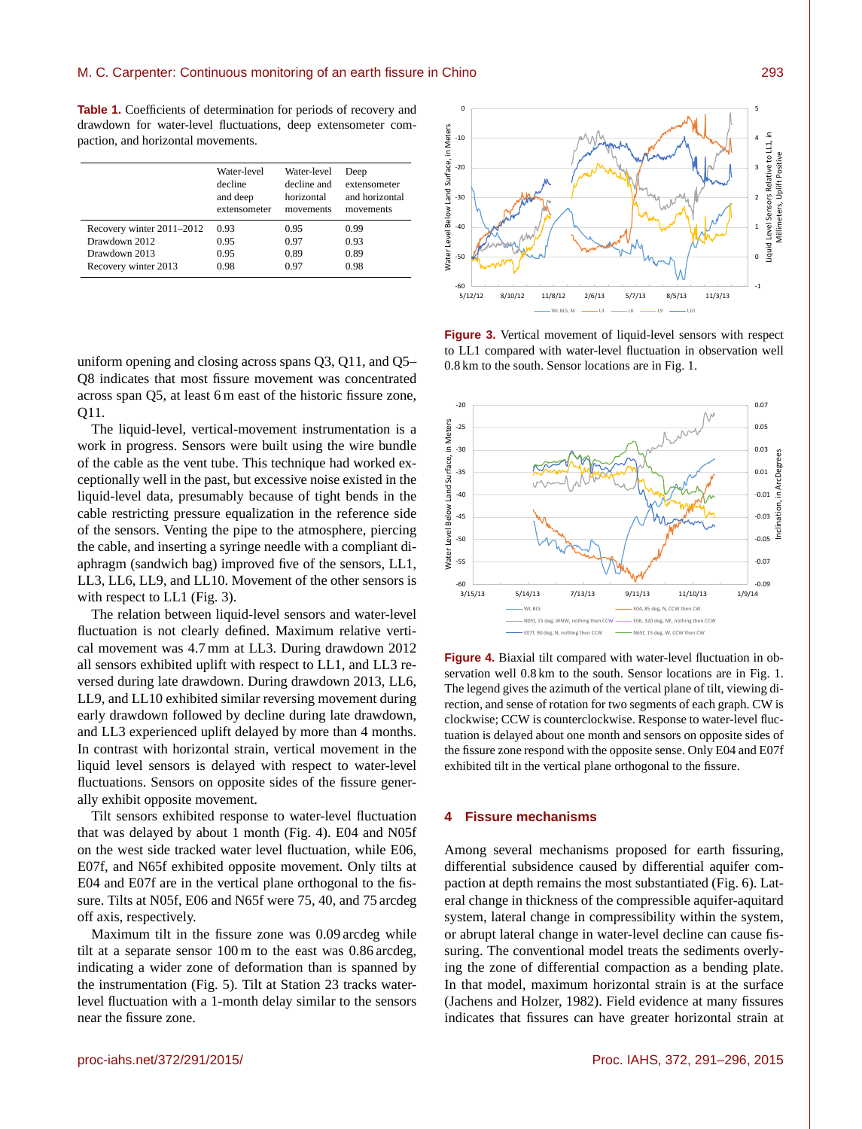**Table 1.** Coefficients of determination for periods of recovery and drawdown for water-level fluctuations, deep extensometer compaction, and horizontal movements.

|                           | Water-level<br>decline<br>and deep<br>extensometer | Water-level<br>decline and<br>horizontal<br>movements | Deep<br>extensometer<br>and horizontal<br>movements |
|---------------------------|----------------------------------------------------|-------------------------------------------------------|-----------------------------------------------------|
| Recovery winter 2011-2012 | 0.93                                               | 0.95                                                  | 0.99                                                |
| Drawdown 2012             | 0.95                                               | 0.97                                                  | 0.93                                                |
| Drawdown 2013             | 0.95                                               | 0.89                                                  | 0.89                                                |
| Recovery winter 2013      | 0.98                                               | 0.97                                                  | 0.98                                                |

uniform opening and closing across spans Q3, Q11, and Q5– Q8 indicates that most fissure movement was concentrated across span Q5, at least 6 m east of the historic fissure zone, Q11.

The liquid-level, vertical-movement instrumentation is a work in progress. Sensors were built using the wire bundle of the cable as the vent tube. This technique had worked exceptionally well in the past, but excessive noise existed in the liquid-level data, presumably because of tight bends in the cable restricting pressure equalization in the reference side of the sensors. Venting the pipe to the atmosphere, piercing the cable, and inserting a syringe needle with a compliant diaphragm (sandwich bag) improved five of the sensors, LL1, LL3, LL6, LL9, and LL10. Movement of the other sensors is with respect to LL1 (Fig. 3).

The relation between liquid-level sensors and water-level fluctuation is not clearly defined. Maximum relative vertical movement was 4.7 mm at LL3. During drawdown 2012 all sensors exhibited uplift with respect to LL1, and LL3 reversed during late drawdown. During drawdown 2013, LL6, LL9, and LL10 exhibited similar reversing movement during early drawdown followed by decline during late drawdown, and LL3 experienced uplift delayed by more than 4 months. In contrast with horizontal strain, vertical movement in the liquid level sensors is delayed with respect to water-level fluctuations. Sensors on opposite sides of the fissure generally exhibit opposite movement.

Tilt sensors exhibited response to water-level fluctuation that was delayed by about 1 month (Fig. 4). E04 and N05f on the west side tracked water level fluctuation, while E06, E07f, and N65f exhibited opposite movement. Only tilts at E04 and E07f are in the vertical plane orthogonal to the fissure. Tilts at N05f, E06 and N65f were 75, 40, and 75 arcdeg off axis, respectively.

Maximum tilt in the fissure zone was 0.09 arcdeg while tilt at a separate sensor 100 m to the east was 0.86 arcdeg, indicating a wider zone of deformation than is spanned by the instrumentation (Fig. 5). Tilt at Station 23 tracks waterlevel fluctuation with a 1-month delay similar to the sensors near the fissure zone.



**Figure 3.** Vertical movement of liquid-level sensors with respect to LL1 compared with water-level fluctuation in observation well 0.8 km to the south. Sensor locations are in Fig. 1.



**Figure 4.** Biaxial tilt compared with water-level fluctuation in observation well 0.8 km to the south. Sensor locations are in Fig. 1. The legend gives the azimuth of the vertical plane of tilt, viewing direction, and sense of rotation for two segments of each graph. CW is clockwise; CCW is counterclockwise. Response to water-level fluctuation is delayed about one month and sensors on opposite sides of the fissure zone respond with the opposite sense. Only E04 and E07f exhibited tilt in the vertical plane orthogonal to the fissure.

### **4 Fissure mechanisms**

Among several mechanisms proposed for earth fissuring, differential subsidence caused by differential aquifer compaction at depth remains the most substantiated (Fig. 6). Lateral change in thickness of the compressible aquifer-aquitard system, lateral change in compressibility within the system, or abrupt lateral change in water-level decline can cause fissuring. The conventional model treats the sediments overlying the zone of differential compaction as a bending plate. In that model, maximum horizontal strain is at the surface (Jachens and Holzer, 1982). Field evidence at many fissures indicates that fissures can have greater horizontal strain at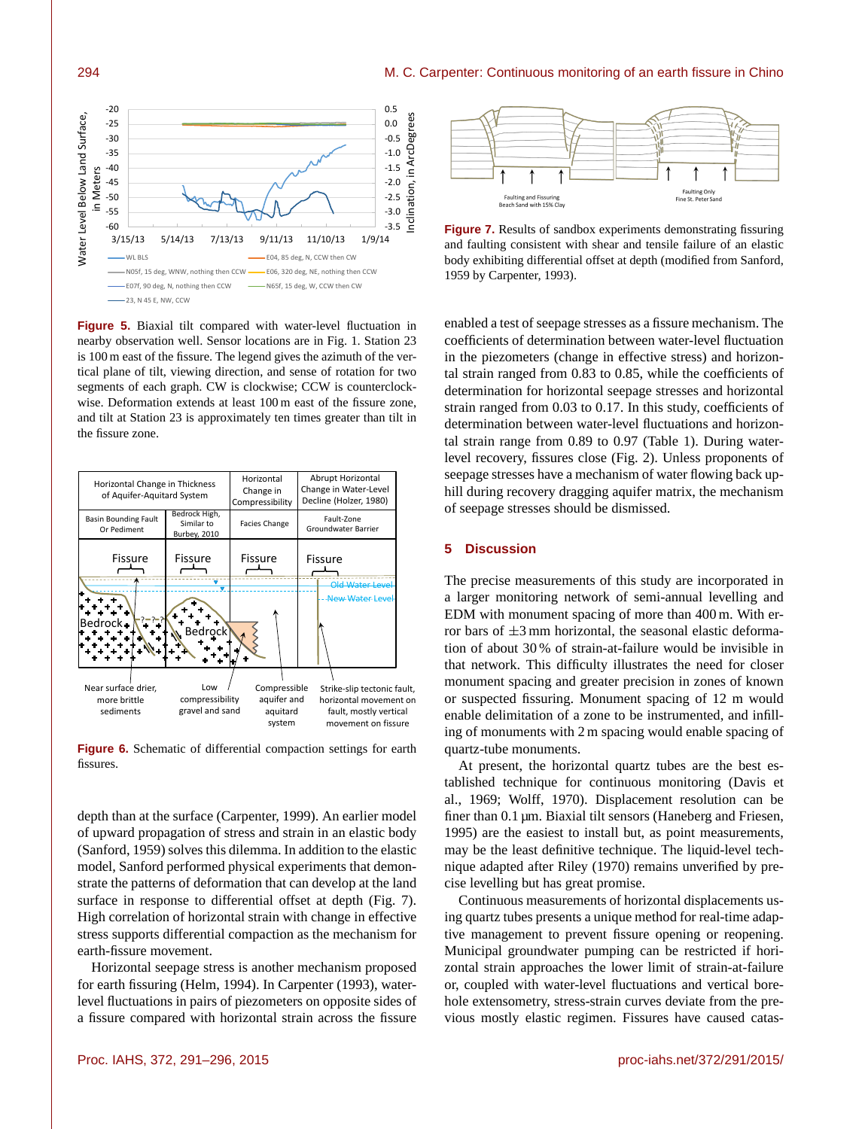#### 294 M. C. Carpenter: Continuous monitoring of an earth fissure in Chino



**Figure 5.** Biaxial tilt compared with water-level fluctuation in nearby observation well. Sensor locations are in Fig. 1. Station 23 is 100 m east of the fissure. The legend gives the azimuth of the vertical plane of tilt, viewing direction, and sense of rotation for two segments of each graph. CW is clockwise; CCW is counterclockwise. Deformation extends at least 100 m east of the fissure zone, and tilt at Station 23 is approximately ten times greater than tilt in the fissure zone.



**Figure 6.** Schematic of differential compaction settings for earth fissures.

depth than at the surface (Carpenter, 1999). An earlier model of upward propagation of stress and strain in an elastic body (Sanford, 1959) solves this dilemma. In addition to the elastic model, Sanford performed physical experiments that demonstrate the patterns of deformation that can develop at the land surface in response to differential offset at depth (Fig. 7). High correlation of horizontal strain with change in effective stress supports differential compaction as the mechanism for earth-fissure movement.

Horizontal seepage stress is another mechanism proposed for earth fissuring (Helm, 1994). In Carpenter (1993), waterlevel fluctuations in pairs of piezometers on opposite sides of a fissure compared with horizontal strain across the fissure



**Figure 7.** Results of sandbox experiments demonstrating fissuring and faulting consistent with shear and tensile failure of an elastic body exhibiting differential offset at depth (modified from Sanford, 1959 by Carpenter, 1993).

enabled a test of seepage stresses as a fissure mechanism. The coefficients of determination between water-level fluctuation in the piezometers (change in effective stress) and horizontal strain ranged from 0.83 to 0.85, while the coefficients of determination for horizontal seepage stresses and horizontal strain ranged from 0.03 to 0.17. In this study, coefficients of determination between water-level fluctuations and horizontal strain range from 0.89 to 0.97 (Table 1). During waterlevel recovery, fissures close (Fig. 2). Unless proponents of seepage stresses have a mechanism of water flowing back uphill during recovery dragging aquifer matrix, the mechanism of seepage stresses should be dismissed.

#### **5 Discussion**

The precise measurements of this study are incorporated in a larger monitoring network of semi-annual levelling and EDM with monument spacing of more than 400 m. With error bars of  $\pm 3$  mm horizontal, the seasonal elastic deformation of about 30 % of strain-at-failure would be invisible in that network. This difficulty illustrates the need for closer monument spacing and greater precision in zones of known or suspected fissuring. Monument spacing of 12 m would enable delimitation of a zone to be instrumented, and infilling of monuments with 2 m spacing would enable spacing of quartz-tube monuments.

At present, the horizontal quartz tubes are the best established technique for continuous monitoring (Davis et al., 1969; Wolff, 1970). Displacement resolution can be finer than 0.1 µm. Biaxial tilt sensors (Haneberg and Friesen, 1995) are the easiest to install but, as point measurements, may be the least definitive technique. The liquid-level technique adapted after Riley (1970) remains unverified by precise levelling but has great promise.

Continuous measurements of horizontal displacements using quartz tubes presents a unique method for real-time adaptive management to prevent fissure opening or reopening. Municipal groundwater pumping can be restricted if horizontal strain approaches the lower limit of strain-at-failure or, coupled with water-level fluctuations and vertical borehole extensometry, stress-strain curves deviate from the previous mostly elastic regimen. Fissures have caused catas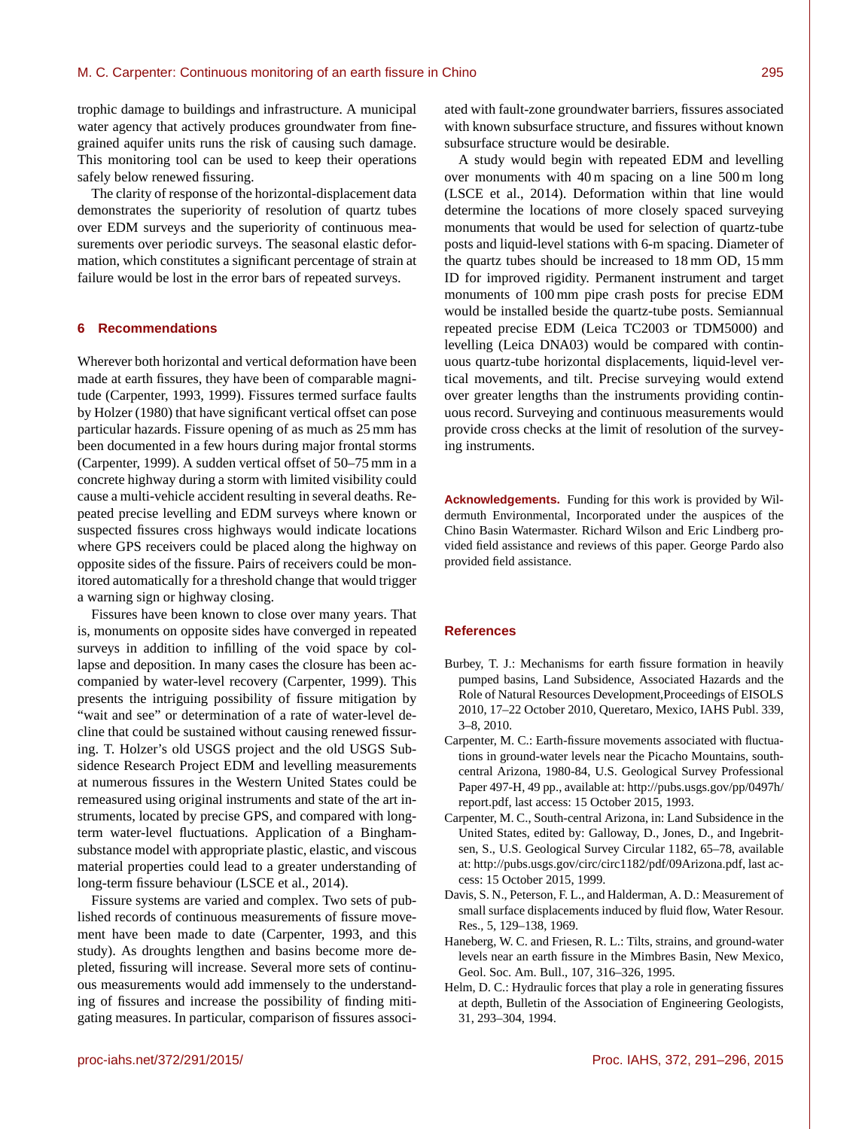trophic damage to buildings and infrastructure. A municipal water agency that actively produces groundwater from finegrained aquifer units runs the risk of causing such damage. This monitoring tool can be used to keep their operations safely below renewed fissuring.

The clarity of response of the horizontal-displacement data demonstrates the superiority of resolution of quartz tubes over EDM surveys and the superiority of continuous measurements over periodic surveys. The seasonal elastic deformation, which constitutes a significant percentage of strain at failure would be lost in the error bars of repeated surveys.

#### **6 Recommendations**

Wherever both horizontal and vertical deformation have been made at earth fissures, they have been of comparable magnitude (Carpenter, 1993, 1999). Fissures termed surface faults by Holzer (1980) that have significant vertical offset can pose particular hazards. Fissure opening of as much as 25 mm has been documented in a few hours during major frontal storms (Carpenter, 1999). A sudden vertical offset of 50–75 mm in a concrete highway during a storm with limited visibility could cause a multi-vehicle accident resulting in several deaths. Repeated precise levelling and EDM surveys where known or suspected fissures cross highways would indicate locations where GPS receivers could be placed along the highway on opposite sides of the fissure. Pairs of receivers could be monitored automatically for a threshold change that would trigger a warning sign or highway closing.

Fissures have been known to close over many years. That is, monuments on opposite sides have converged in repeated surveys in addition to infilling of the void space by collapse and deposition. In many cases the closure has been accompanied by water-level recovery (Carpenter, 1999). This presents the intriguing possibility of fissure mitigation by "wait and see" or determination of a rate of water-level decline that could be sustained without causing renewed fissuring. T. Holzer's old USGS project and the old USGS Subsidence Research Project EDM and levelling measurements at numerous fissures in the Western United States could be remeasured using original instruments and state of the art instruments, located by precise GPS, and compared with longterm water-level fluctuations. Application of a Binghamsubstance model with appropriate plastic, elastic, and viscous material properties could lead to a greater understanding of long-term fissure behaviour (LSCE et al., 2014).

Fissure systems are varied and complex. Two sets of published records of continuous measurements of fissure movement have been made to date (Carpenter, 1993, and this study). As droughts lengthen and basins become more depleted, fissuring will increase. Several more sets of continuous measurements would add immensely to the understanding of fissures and increase the possibility of finding mitigating measures. In particular, comparison of fissures associated with fault-zone groundwater barriers, fissures associated with known subsurface structure, and fissures without known subsurface structure would be desirable.

A study would begin with repeated EDM and levelling over monuments with 40 m spacing on a line 500 m long (LSCE et al., 2014). Deformation within that line would determine the locations of more closely spaced surveying monuments that would be used for selection of quartz-tube posts and liquid-level stations with 6-m spacing. Diameter of the quartz tubes should be increased to 18 mm OD, 15 mm ID for improved rigidity. Permanent instrument and target monuments of 100 mm pipe crash posts for precise EDM would be installed beside the quartz-tube posts. Semiannual repeated precise EDM (Leica TC2003 or TDM5000) and levelling (Leica DNA03) would be compared with continuous quartz-tube horizontal displacements, liquid-level vertical movements, and tilt. Precise surveying would extend over greater lengths than the instruments providing continuous record. Surveying and continuous measurements would provide cross checks at the limit of resolution of the surveying instruments.

**Acknowledgements.** Funding for this work is provided by Wildermuth Environmental, Incorporated under the auspices of the Chino Basin Watermaster. Richard Wilson and Eric Lindberg provided field assistance and reviews of this paper. George Pardo also provided field assistance.

### **References**

- Burbey, T. J.: Mechanisms for earth fissure formation in heavily pumped basins, Land Subsidence, Associated Hazards and the Role of Natural Resources Development,Proceedings of EISOLS 2010, 17–22 October 2010, Queretaro, Mexico, IAHS Publ. 339, 3–8, 2010.
- Carpenter, M. C.: Earth-fissure movements associated with fluctuations in ground-water levels near the Picacho Mountains, southcentral Arizona, 1980-84, U.S. Geological Survey Professional Paper 497-H, 49 pp., available at: [http://pubs.usgs.gov/pp/0497h/](http://pubs.usgs.gov/pp/0497h/report.pdf) [report.pdf,](http://pubs.usgs.gov/pp/0497h/report.pdf) last access: 15 October 2015, 1993.
- Carpenter, M. C., South-central Arizona, in: Land Subsidence in the United States, edited by: Galloway, D., Jones, D., and Ingebritsen, S., U.S. Geological Survey Circular 1182, 65–78, available at: [http://pubs.usgs.gov/circ/circ1182/pdf/09Arizona.pdf,](http://pubs.usgs.gov/circ/circ1182/pdf/09Arizona.pdf) last access: 15 October 2015, 1999.
- Davis, S. N., Peterson, F. L., and Halderman, A. D.: Measurement of small surface displacements induced by fluid flow, Water Resour. Res., 5, 129–138, 1969.
- Haneberg, W. C. and Friesen, R. L.: Tilts, strains, and ground-water levels near an earth fissure in the Mimbres Basin, New Mexico, Geol. Soc. Am. Bull., 107, 316–326, 1995.
- Helm, D. C.: Hydraulic forces that play a role in generating fissures at depth, Bulletin of the Association of Engineering Geologists, 31, 293–304, 1994.